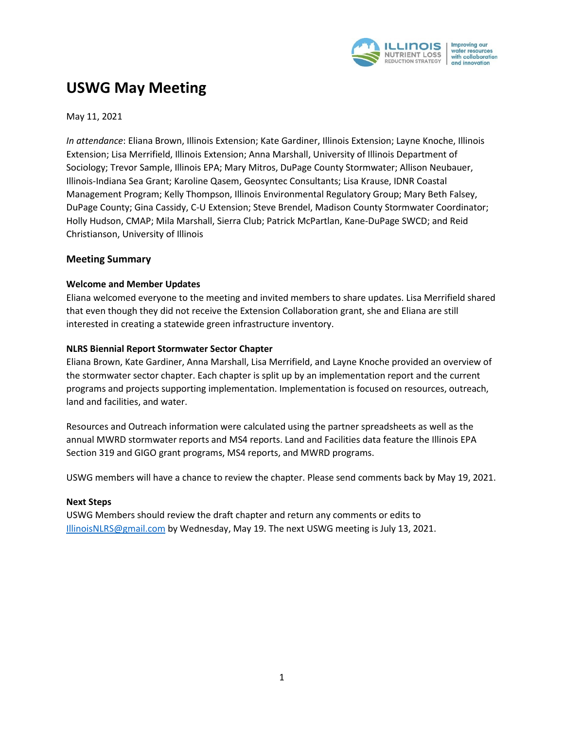

# **USWG May Meeting**

May 11, 2021

*In attendance*: Eliana Brown, Illinois Extension; Kate Gardiner, Illinois Extension; Layne Knoche, Illinois Extension; Lisa Merrifield, Illinois Extension; Anna Marshall, University of Illinois Department of Sociology; Trevor Sample, Illinois EPA; Mary Mitros, DuPage County Stormwater; Allison Neubauer, Illinois-Indiana Sea Grant; Karoline Qasem, Geosyntec Consultants; Lisa Krause, IDNR Coastal Management Program; Kelly Thompson, Illinois Environmental Regulatory Group; Mary Beth Falsey, DuPage County; Gina Cassidy, C-U Extension; Steve Brendel, Madison County Stormwater Coordinator; Holly Hudson, CMAP; Mila Marshall, Sierra Club; Patrick McPartlan, Kane-DuPage SWCD; and Reid Christianson, University of Illinois

# **Meeting Summary**

## **Welcome and Member Updates**

Eliana welcomed everyone to the meeting and invited members to share updates. Lisa Merrifield shared that even though they did not receive the Extension Collaboration grant, she and Eliana are still interested in creating a statewide green infrastructure inventory.

## **NLRS Biennial Report Stormwater Sector Chapter**

Eliana Brown, Kate Gardiner, Anna Marshall, Lisa Merrifield, and Layne Knoche provided an overview of the stormwater sector chapter. Each chapter is split up by an implementation report and the current programs and projects supporting implementation. Implementation is focused on resources, outreach, land and facilities, and water.

Resources and Outreach information were calculated using the partner spreadsheets as well as the annual MWRD stormwater reports and MS4 reports. Land and Facilities data feature the Illinois EPA Section 319 and GIGO grant programs, MS4 reports, and MWRD programs.

USWG members will have a chance to review the chapter. Please send comments back by May 19, 2021.

#### **Next Steps**

USWG Members should review the draft chapter and return any comments or edits to [IllinoisNLRS@gmail.com](mailto:IllinoisNLRS@gmail.com) by Wednesday, May 19. The next USWG meeting is July 13, 2021.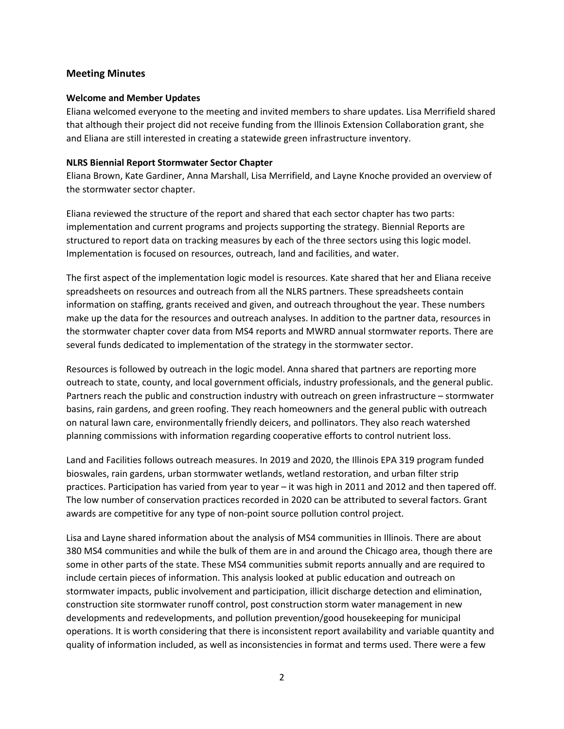# **Meeting Minutes**

## **Welcome and Member Updates**

Eliana welcomed everyone to the meeting and invited members to share updates. Lisa Merrifield shared that although their project did not receive funding from the Illinois Extension Collaboration grant, she and Eliana are still interested in creating a statewide green infrastructure inventory.

## **NLRS Biennial Report Stormwater Sector Chapter**

Eliana Brown, Kate Gardiner, Anna Marshall, Lisa Merrifield, and Layne Knoche provided an overview of the stormwater sector chapter.

Eliana reviewed the structure of the report and shared that each sector chapter has two parts: implementation and current programs and projects supporting the strategy. Biennial Reports are structured to report data on tracking measures by each of the three sectors using this logic model. Implementation is focused on resources, outreach, land and facilities, and water.

The first aspect of the implementation logic model is resources. Kate shared that her and Eliana receive spreadsheets on resources and outreach from all the NLRS partners. These spreadsheets contain information on staffing, grants received and given, and outreach throughout the year. These numbers make up the data for the resources and outreach analyses. In addition to the partner data, resources in the stormwater chapter cover data from MS4 reports and MWRD annual stormwater reports. There are several funds dedicated to implementation of the strategy in the stormwater sector.

Resources is followed by outreach in the logic model. Anna shared that partners are reporting more outreach to state, county, and local government officials, industry professionals, and the general public. Partners reach the public and construction industry with outreach on green infrastructure – stormwater basins, rain gardens, and green roofing. They reach homeowners and the general public with outreach on natural lawn care, environmentally friendly deicers, and pollinators. They also reach watershed planning commissions with information regarding cooperative efforts to control nutrient loss.

Land and Facilities follows outreach measures. In 2019 and 2020, the Illinois EPA 319 program funded bioswales, rain gardens, urban stormwater wetlands, wetland restoration, and urban filter strip practices. Participation has varied from year to year – it was high in 2011 and 2012 and then tapered off. The low number of conservation practices recorded in 2020 can be attributed to several factors. Grant awards are competitive for any type of non-point source pollution control project.

Lisa and Layne shared information about the analysis of MS4 communities in Illinois. There are about 380 MS4 communities and while the bulk of them are in and around the Chicago area, though there are some in other parts of the state. These MS4 communities submit reports annually and are required to include certain pieces of information. This analysis looked at public education and outreach on stormwater impacts, public involvement and participation, illicit discharge detection and elimination, construction site stormwater runoff control, post construction storm water management in new developments and redevelopments, and pollution prevention/good housekeeping for municipal operations. It is worth considering that there is inconsistent report availability and variable quantity and quality of information included, as well as inconsistencies in format and terms used. There were a few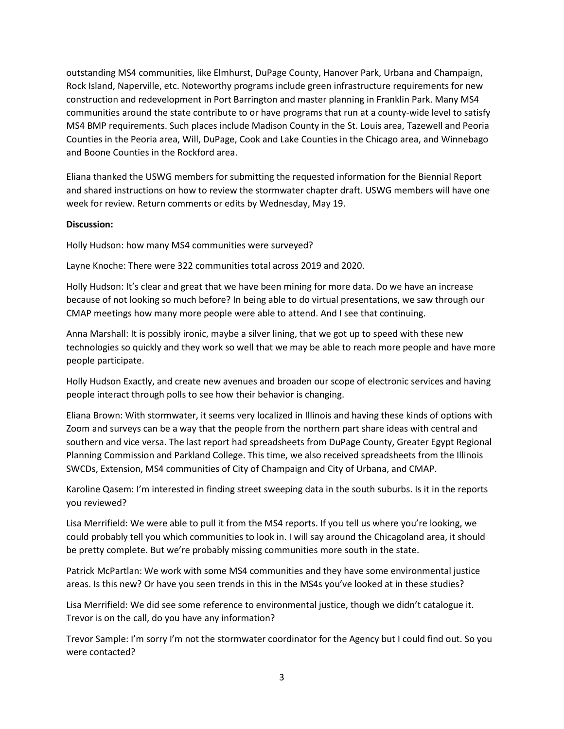outstanding MS4 communities, like Elmhurst, DuPage County, Hanover Park, Urbana and Champaign, Rock Island, Naperville, etc. Noteworthy programs include green infrastructure requirements for new construction and redevelopment in Port Barrington and master planning in Franklin Park. Many MS4 communities around the state contribute to or have programs that run at a county-wide level to satisfy MS4 BMP requirements. Such places include Madison County in the St. Louis area, Tazewell and Peoria Counties in the Peoria area, Will, DuPage, Cook and Lake Counties in the Chicago area, and Winnebago and Boone Counties in the Rockford area.

Eliana thanked the USWG members for submitting the requested information for the Biennial Report and shared instructions on how to review the stormwater chapter draft. USWG members will have one week for review. Return comments or edits by Wednesday, May 19.

## **Discussion:**

Holly Hudson: how many MS4 communities were surveyed?

Layne Knoche: There were 322 communities total across 2019 and 2020.

Holly Hudson: It's clear and great that we have been mining for more data. Do we have an increase because of not looking so much before? In being able to do virtual presentations, we saw through our CMAP meetings how many more people were able to attend. And I see that continuing.

Anna Marshall: It is possibly ironic, maybe a silver lining, that we got up to speed with these new technologies so quickly and they work so well that we may be able to reach more people and have more people participate.

Holly Hudson Exactly, and create new avenues and broaden our scope of electronic services and having people interact through polls to see how their behavior is changing.

Eliana Brown: With stormwater, it seems very localized in Illinois and having these kinds of options with Zoom and surveys can be a way that the people from the northern part share ideas with central and southern and vice versa. The last report had spreadsheets from DuPage County, Greater Egypt Regional Planning Commission and Parkland College. This time, we also received spreadsheets from the Illinois SWCDs, Extension, MS4 communities of City of Champaign and City of Urbana, and CMAP.

Karoline Qasem: I'm interested in finding street sweeping data in the south suburbs. Is it in the reports you reviewed?

Lisa Merrifield: We were able to pull it from the MS4 reports. If you tell us where you're looking, we could probably tell you which communities to look in. I will say around the Chicagoland area, it should be pretty complete. But we're probably missing communities more south in the state.

Patrick McPartlan: We work with some MS4 communities and they have some environmental justice areas. Is this new? Or have you seen trends in this in the MS4s you've looked at in these studies?

Lisa Merrifield: We did see some reference to environmental justice, though we didn't catalogue it. Trevor is on the call, do you have any information?

Trevor Sample: I'm sorry I'm not the stormwater coordinator for the Agency but I could find out. So you were contacted?